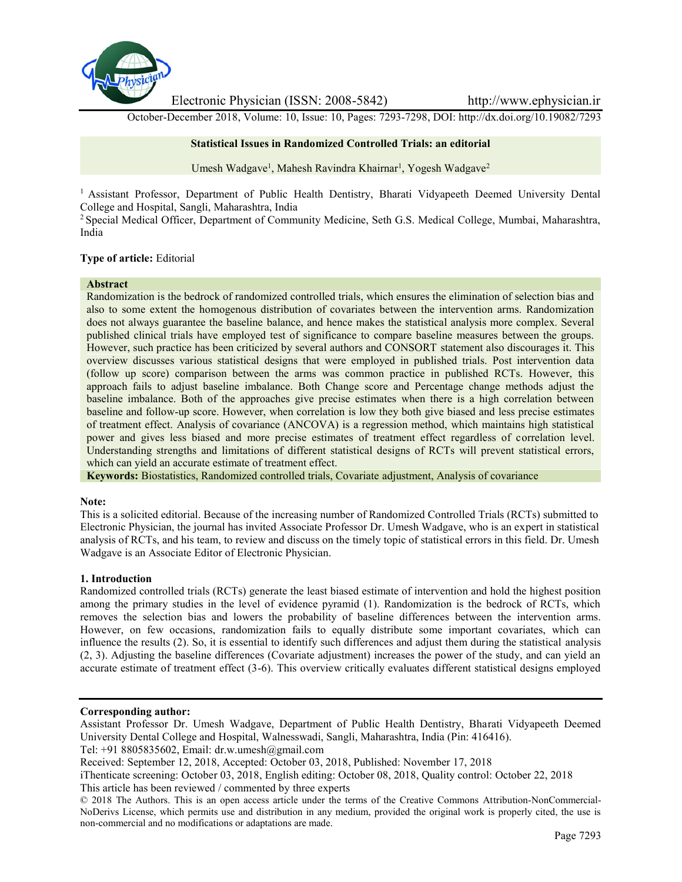

Electronic Physician (ISSN: 2008-5842) http://www.ephysician.ir

October-December 2018, Volume: 10, Issue: 10, Pages: 7293-7298, DOI: http://dx.doi.org/10.19082/7293

## **Statistical Issues in Randomized Controlled Trials: an editorial**

Umesh Wadgave<sup>1</sup>, Mahesh Ravindra Khairnar<sup>1</sup>, Yogesh Wadgave<sup>2</sup>

<sup>1</sup> Assistant Professor, Department of Public Health Dentistry, Bharati Vidyapeeth Deemed University Dental College and Hospital, Sangli, Maharashtra, India

<sup>2</sup> Special Medical Officer, Department of Community Medicine, Seth G.S. Medical College, Mumbai, Maharashtra, India

## **Type of article:** Editorial

#### **Abstract**

Randomization is the bedrock of randomized controlled trials, which ensures the elimination of selection bias and also to some extent the homogenous distribution of covariates between the intervention arms. Randomization does not always guarantee the baseline balance, and hence makes the statistical analysis more complex. Several published clinical trials have employed test of significance to compare baseline measures between the groups. However, such practice has been criticized by several authors and CONSORT statement also discourages it. This overview discusses various statistical designs that were employed in published trials. Post intervention data (follow up score) comparison between the arms was common practice in published RCTs. However, this approach fails to adjust baseline imbalance. Both Change score and Percentage change methods adjust the baseline imbalance. Both of the approaches give precise estimates when there is a high correlation between baseline and follow-up score. However, when correlation is low they both give biased and less precise estimates of treatment effect. Analysis of covariance (ANCOVA) is a regression method, which maintains high statistical power and gives less biased and more precise estimates of treatment effect regardless of correlation level. Understanding strengths and limitations of different statistical designs of RCTs will prevent statistical errors, which can yield an accurate estimate of treatment effect.

**Keywords:** Biostatistics, Randomized controlled trials, Covariate adjustment, Analysis of covariance

## **Note:**

This is a solicited editorial. Because of the increasing number of Randomized Controlled Trials (RCTs) submitted to Electronic Physician, the journal has invited Associate Professor Dr. Umesh Wadgave, who is an expert in statistical analysis of RCTs, and his team, to review and discuss on the timely topic of statistical errors in this field. Dr. Umesh Wadgave is an Associate Editor of Electronic Physician.

## **1. Introduction**

Randomized controlled trials (RCTs) generate the least biased estimate of intervention and hold the highest position among the primary studies in the level of evidence pyramid (1). Randomization is the bedrock of RCTs, which removes the selection bias and lowers the probability of baseline differences between the intervention arms. However, on few occasions, randomization fails to equally distribute some important covariates, which can influence the results (2). So, it is essential to identify such differences and adjust them during the statistical analysis (2, 3). Adjusting the baseline differences (Covariate adjustment) increases the power of the study, and can yield an accurate estimate of treatment effect (3-6). This overview critically evaluates different statistical designs employed

## **Corresponding author:**

Assistant Professor Dr. Umesh Wadgave, Department of Public Health Dentistry, Bharati Vidyapeeth Deemed University Dental College and Hospital, Walnesswadi, Sangli, Maharashtra, India (Pin: 416416). Tel: +91 8805835602, Email: dr.w.umesh@gmail.com

Received: September 12, 2018, Accepted: October 03, 2018, Published: November 17, 2018

iThenticate screening: October 03, 2018, English editing: October 08, 2018, Quality control: October 22, 2018 This article has been reviewed / commented by three experts

<sup>© 2018</sup> The Authors. This is an open access article under the terms of the Creative Commons Attribution-NonCommercial- NoDerivs License, which permits use and distribution in any medium, provided the original work is properly cited, the use is non-commercial and no modifications or adaptations are made.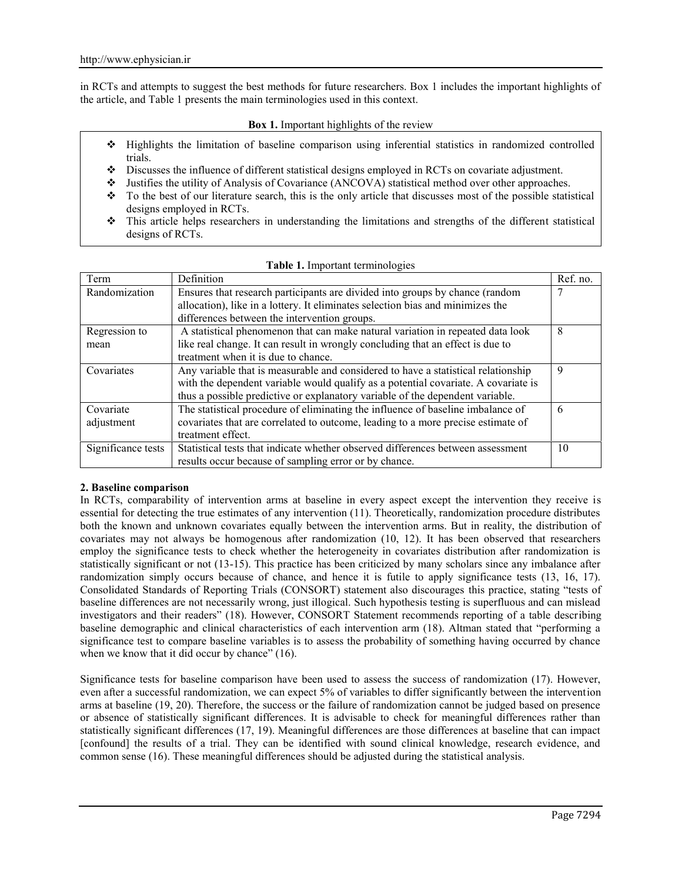in RCTs and attempts to suggest the best methods for future researchers. Box 1 includes the important highlights of the article, and Table 1 presents the main terminologies used in this context.

## **Box 1.** Important highlights of the review

- Highlights the limitation of baseline comparison using inferential statistics in randomized controlled trials.
- Discusses the influence of different statistical designs employed in RCTs on covariate adjustment.
- Justifies the utility of Analysis of Covariance (ANCOVA) statistical method over other approaches.
- To the best of our literature search, this is the only article that discusses most of the possible statistical designs employed in RCTs.
- This article helps researchers in understanding the limitations and strengths of the different statistical designs of RCTs.

| Term               | Definition                                                                          | Ref. no. |  |  |  |
|--------------------|-------------------------------------------------------------------------------------|----------|--|--|--|
| Randomization      | Ensures that research participants are divided into groups by chance (random        |          |  |  |  |
|                    | allocation), like in a lottery. It eliminates selection bias and minimizes the      |          |  |  |  |
|                    | differences between the intervention groups.                                        |          |  |  |  |
| Regression to      | A statistical phenomenon that can make natural variation in repeated data look<br>8 |          |  |  |  |
| mean               | like real change. It can result in wrongly concluding that an effect is due to      |          |  |  |  |
|                    | treatment when it is due to chance.                                                 |          |  |  |  |
| Covariates         | Any variable that is measurable and considered to have a statistical relationship   | 9        |  |  |  |
|                    | with the dependent variable would qualify as a potential covariate. A covariate is  |          |  |  |  |
|                    | thus a possible predictive or explanatory variable of the dependent variable.       |          |  |  |  |
| Covariate          | The statistical procedure of eliminating the influence of baseline imbalance of     | 6        |  |  |  |
| adjustment         | covariates that are correlated to outcome, leading to a more precise estimate of    |          |  |  |  |
|                    | treatment effect.                                                                   |          |  |  |  |
| Significance tests | Statistical tests that indicate whether observed differences between assessment     | 10       |  |  |  |
|                    | results occur because of sampling error or by chance.                               |          |  |  |  |

|  | Table 1. Important terminologies |  |
|--|----------------------------------|--|
|--|----------------------------------|--|

# **2. Baseline comparison**

In RCTs, comparability of intervention arms at baseline in every aspect except the intervention they receive is essential for detecting the true estimates of any intervention (11). Theoretically, randomization procedure distributes both the known and unknown covariates equally between the intervention arms. But in reality, the distribution of covariates may not always be homogenous after randomization (10, 12). It has been observed that researchers employ the significance tests to check whether the heterogeneity in covariates distribution after randomization is statistically significant or not (13-15). This practice has been criticized by many scholars since any imbalance after randomization simply occurs because of chance, and hence it is futile to apply significance tests (13, 16, 17). Consolidated Standards of Reporting Trials (CONSORT) statement also discourages this practice, stating "tests of baseline differences are not necessarily wrong, just illogical. Such hypothesis testing is superfluous and can mislead investigators and their readers" (18). However, CONSORT Statement recommends reporting of a table describing baseline demographic and clinical characteristics of each intervention arm (18). Altman stated that "performing a significance test to compare baseline variables is to assess the probability of something having occurred by chance when we know that it did occur by chance" (16).

Significance tests for baseline comparison have been used to assess the success of randomization (17). However, even after a successful randomization, we can expect 5% of variables to differ significantly between the intervention arms at baseline (19, 20). Therefore, the success or the failure of randomization cannot be judged based on presence or absence of statistically significant differences. It is advisable to check for meaningful differences rather than statistically significant differences (17, 19). Meaningful differences are those differences at baseline that can impact [confound] the results of a trial. They can be identified with sound clinical knowledge, research evidence, and common sense (16). These meaningful differences should be adjusted during the statistical analysis.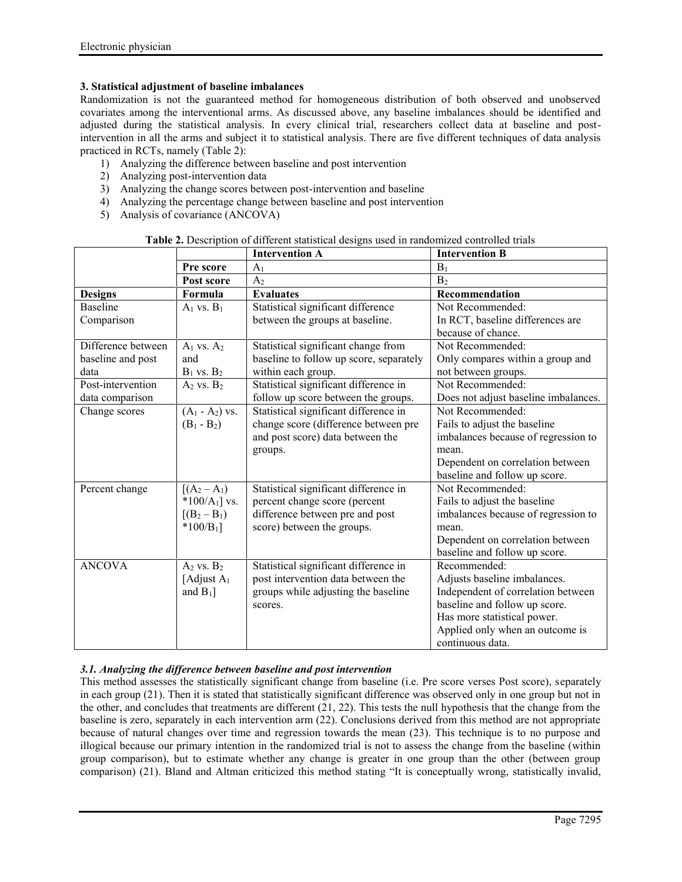# **3. Statistical adjustment of baseline imbalances**

Randomization is not the guaranteed method for homogeneous distribution of both observed and unobserved covariates among the interventional arms. As discussed above, any baseline imbalances should be identified and adjusted during the statistical analysis. In every clinical trial, researchers collect data at baseline and postintervention in all the arms and subject it to statistical analysis. There are five different techniques of data analysis practiced in RCTs, namely (Table 2):

- 1) Analyzing the difference between baseline and post intervention
- 2) Analyzing post-intervention data
- 3) Analyzing the change scores between post-intervention and baseline
- 4) Analyzing the percentage change between baseline and post intervention
- 5) Analysis of covariance (ANCOVA)

|                    |                        | <b>Intervention A</b>                   | <b>Intervention B</b>                                  |
|--------------------|------------------------|-----------------------------------------|--------------------------------------------------------|
|                    | Pre score              | A <sub>1</sub>                          | $B_1$                                                  |
|                    | Post score             | A <sub>2</sub>                          | B <sub>2</sub>                                         |
| <b>Designs</b>     | Formula                | <b>Evaluates</b>                        | Recommendation                                         |
| <b>Baseline</b>    | $A_1$ vs. $B_1$        | Statistical significant difference      | Not Recommended:                                       |
| Comparison         |                        | between the groups at baseline.         | In RCT, baseline differences are<br>because of chance. |
| Difference between | $A_1$ vs. $A_2$        | Statistical significant change from     | Not Recommended:                                       |
| baseline and post  | and                    | baseline to follow up score, separately | Only compares within a group and                       |
| data               | $B_1$ vs. $B_2$        | within each group.                      | not between groups.                                    |
| Post-intervention  | $A_2$ vs. $B_2$        | Statistical significant difference in   | Not Recommended:                                       |
| data comparison    |                        | follow up score between the groups.     | Does not adjust baseline imbalances.                   |
| Change scores      | $(A_1 - A_2)$ vs.      | Statistical significant difference in   | Not Recommended:                                       |
|                    | $(B_1 - B_2)$          | change score (difference between pre    | Fails to adjust the baseline                           |
|                    |                        | and post score) data between the        | imbalances because of regression to                    |
|                    |                        | groups.                                 | mean.                                                  |
|                    |                        |                                         | Dependent on correlation between                       |
|                    |                        |                                         | baseline and follow up score.                          |
| Percent change     | $[(A_2 - A_1)]$        | Statistical significant difference in   | Not Recommended:                                       |
|                    | *100/ $A_1$ ] vs.      | percent change score (percent           | Fails to adjust the baseline                           |
|                    | $[(B_2 - B_1)]$        | difference between pre and post         | imbalances because of regression to                    |
|                    | $*100/B_1$ ]           | score) between the groups.              | mean.                                                  |
|                    |                        |                                         | Dependent on correlation between                       |
|                    |                        |                                         | baseline and follow up score.                          |
| <b>ANCOVA</b>      | $A_2$ vs. $B_2$        | Statistical significant difference in   | Recommended:                                           |
|                    | [Adjust A <sub>1</sub> | post intervention data between the      | Adjusts baseline imbalances.                           |
|                    | and $B_1$ ]            | groups while adjusting the baseline     | Independent of correlation between                     |
|                    |                        | scores.                                 | baseline and follow up score.                          |
|                    |                        |                                         | Has more statistical power.                            |
|                    |                        |                                         | Applied only when an outcome is                        |
|                    |                        |                                         | continuous data.                                       |

**Table 2.** Description of different statistical designs used in randomized controlled trials

# *3.1. Analyzing the difference between baseline and post intervention*

This method assesses the statistically significant change from baseline (i.e. Pre score verses Post score), separately in each group (21). Then it is stated that statistically significant difference was observed only in one group but not in the other, and concludes that treatments are different (21, 22). This tests the null hypothesis that the change from the baseline is zero, separately in each intervention arm (22). Conclusions derived from this method are not appropriate because of natural changes over time and regression towards the mean (23). This technique is to no purpose and illogical because our primary intention in the randomized trial is not to assess the change from the baseline (within group comparison), but to estimate whether any change is greater in one group than the other (between group comparison) (21). Bland and Altman criticized this method stating "It is conceptually wrong, statistically invalid,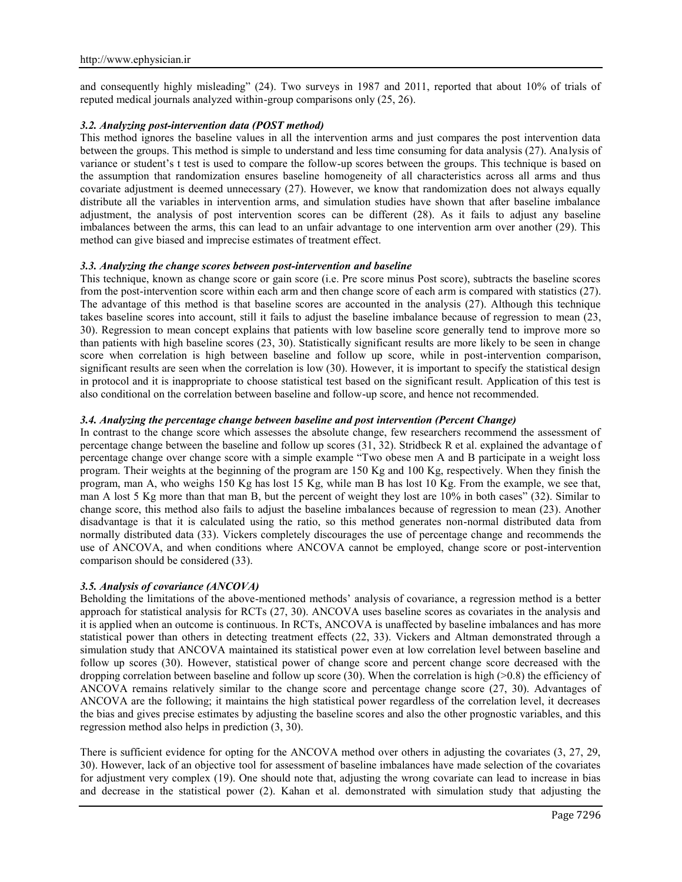and consequently highly misleading" (24). Two surveys in 1987 and 2011, reported that about 10% of trials of reputed medical journals analyzed within-group comparisons only (25, 26).

## *3.2. Analyzing post-intervention data (POST method)*

This method ignores the baseline values in all the intervention arms and just compares the post intervention data between the groups. This method is simple to understand and less time consuming for data analysis (27). Analysis of variance or student's t test is used to compare the follow-up scores between the groups. This technique is based on the assumption that randomization ensures baseline homogeneity of all characteristics across all arms and thus covariate adjustment is deemed unnecessary (27). However, we know that randomization does not always equally distribute all the variables in intervention arms, and simulation studies have shown that after baseline imbalance adjustment, the analysis of post intervention scores can be different (28). As it fails to adjust any baseline imbalances between the arms, this can lead to an unfair advantage to one intervention arm over another (29). This method can give biased and imprecise estimates of treatment effect.

## *3.3. Analyzing the change scores between post-intervention and baseline*

This technique, known as change score or gain score (i.e. Pre score minus Post score), subtracts the baseline scores from the post-intervention score within each arm and then change score of each arm is compared with statistics (27). The advantage of this method is that baseline scores are accounted in the analysis (27). Although this technique takes baseline scores into account, still it fails to adjust the baseline imbalance because of regression to mean (23, 30). Regression to mean concept explains that patients with low baseline score generally tend to improve more so than patients with high baseline scores (23, 30). Statistically significant results are more likely to be seen in change score when correlation is high between baseline and follow up score, while in post-intervention comparison, significant results are seen when the correlation is low (30). However, it is important to specify the statistical design in protocol and it is inappropriate to choose statistical test based on the significant result. Application of this test is also conditional on the correlation between baseline and follow-up score, and hence not recommended.

# *3.4. Analyzing the percentage change between baseline and post intervention (Percent Change)*

In contrast to the change score which assesses the absolute change, few researchers recommend the assessment of percentage change between the baseline and follow up scores (31, 32). Stridbeck R et al. explained the advantage of percentage change over change score with a simple example "Two obese men A and B participate in a weight loss program. Their weights at the beginning of the program are 150 Kg and 100 Kg, respectively. When they finish the program, man A, who weighs 150 Kg has lost 15 Kg, while man B has lost 10 Kg. From the example, we see that, man A lost 5 Kg more than that man B, but the percent of weight they lost are 10% in both cases" (32). Similar to change score, this method also fails to adjust the baseline imbalances because of regression to mean (23). Another disadvantage is that it is calculated using the ratio, so this method generates non-normal distributed data from normally distributed data (33). Vickers completely discourages the use of percentage change and recommends the use of ANCOVA, and when conditions where ANCOVA cannot be employed, change score or post-intervention comparison should be considered (33).

## *3.5. Analysis of covariance (ANCOVA)*

Beholding the limitations of the above-mentioned methods' analysis of covariance, a regression method is a better approach for statistical analysis for RCTs (27, 30). ANCOVA uses baseline scores as covariates in the analysis and it is applied when an outcome is continuous. In RCTs, ANCOVA is unaffected by baseline imbalances and has more statistical power than others in detecting treatment effects (22, 33). Vickers and Altman demonstrated through a simulation study that ANCOVA maintained its statistical power even at low correlation level between baseline and follow up scores (30). However, statistical power of change score and percent change score decreased with the dropping correlation between baseline and follow up score (30). When the correlation is high  $(0.8)$  the efficiency of ANCOVA remains relatively similar to the change score and percentage change score (27, 30). Advantages of ANCOVA are the following; it maintains the high statistical power regardless of the correlation level, it decreases the bias and gives precise estimates by adjusting the baseline scores and also the other prognostic variables, and this regression method also helps in prediction (3, 30).

There is sufficient evidence for opting for the ANCOVA method over others in adjusting the covariates (3, 27, 29, 30). However, lack of an objective tool for assessment of baseline imbalances have made selection of the covariates for adjustment very complex (19). One should note that, adjusting the wrong covariate can lead to increase in bias and decrease in the statistical power (2). Kahan et al. demonstrated with simulation study that adjusting the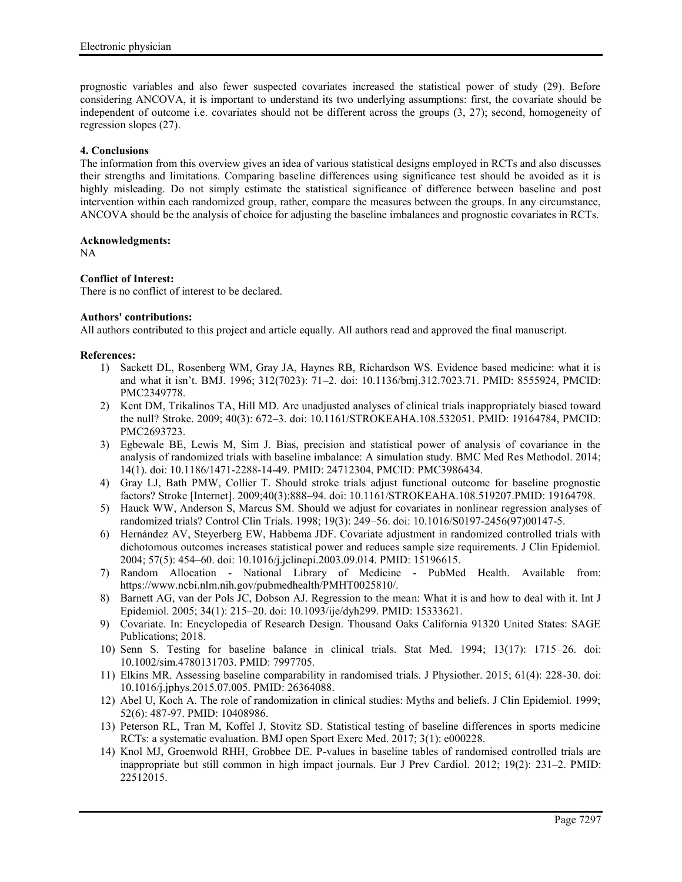prognostic variables and also fewer suspected covariates increased the statistical power of study (29). Before considering ANCOVA, it is important to understand its two underlying assumptions: first, the covariate should be independent of outcome i.e. covariates should not be different across the groups (3, 27); second, homogeneity of regression slopes (27).

# **4. Conclusions**

The information from this overview gives an idea of various statistical designs employed in RCTs and also discusses their strengths and limitations. Comparing baseline differences using significance test should be avoided as it is highly misleading. Do not simply estimate the statistical significance of difference between baseline and post intervention within each randomized group, rather, compare the measures between the groups. In any circumstance, ANCOVA should be the analysis of choice for adjusting the baseline imbalances and prognostic covariates in RCTs.

## **Acknowledgments:**

NA

# **Conflict of Interest:**

There is no conflict of interest to be declared.

# **Authors' contributions:**

All authors contributed to this project and article equally. All authors read and approved the final manuscript.

## **References:**

- 1) Sackett DL, Rosenberg WM, Gray JA, Haynes RB, Richardson WS. Evidence based medicine: what it is and what it isn't. BMJ. 1996; 312(7023): 71–2. doi: 10.1136/bmj.312.7023.71. PMID: 8555924, PMCID: PMC2349778.
- 2) Kent DM, Trikalinos TA, Hill MD. Are unadjusted analyses of clinical trials inappropriately biased toward the null? Stroke. 2009; 40(3): 672–3. doi: 10.1161/STROKEAHA.108.532051. PMID: 19164784, PMCID: PMC2693723.
- 3) Egbewale BE, Lewis M, Sim J. Bias, precision and statistical power of analysis of covariance in the analysis of randomized trials with baseline imbalance: A simulation study. BMC Med Res Methodol. 2014; 14(1). doi: 10.1186/1471-2288-14-49. PMID: 24712304, PMCID: PMC3986434.
- 4) Gray LJ, Bath PMW, Collier T. Should stroke trials adjust functional outcome for baseline prognostic factors? Stroke [Internet]. 2009;40(3):888–94. doi: 10.1161/STROKEAHA.108.519207.PMID: 19164798.
- 5) Hauck WW, Anderson S, Marcus SM. Should we adjust for covariates in nonlinear regression analyses of randomized trials? Control Clin Trials. 1998; 19(3): 249–56. doi: 10.1016/S0197-2456(97)00147-5.
- 6) Hernández AV, Steyerberg EW, Habbema JDF. Covariate adjustment in randomized controlled trials with dichotomous outcomes increases statistical power and reduces sample size requirements. J Clin Epidemiol. 2004; 57(5): 454–60. doi: 10.1016/j.jclinepi.2003.09.014. PMID: 15196615.
- 7) Random Allocation National Library of Medicine PubMed Health. Available from: https://www.ncbi.nlm.nih.gov/pubmedhealth/PMHT0025810/.
- 8) Barnett AG, van der Pols JC, Dobson AJ. Regression to the mean: What it is and how to deal with it. Int J Epidemiol. 2005; 34(1): 215–20. doi: 10.1093/ije/dyh299. PMID: 15333621.
- 9) Covariate. In: Encyclopedia of Research Design. Thousand Oaks California 91320 United States: SAGE Publications; 2018.
- 10) Senn S. Testing for baseline balance in clinical trials. Stat Med. 1994; 13(17): 1715–26. doi: 10.1002/sim.4780131703. PMID: 7997705.
- 11) Elkins MR. Assessing baseline comparability in randomised trials. J Physiother. 2015; 61(4): 228-30. doi: 10.1016/j.jphys.2015.07.005. PMID: 26364088.
- 12) Abel U, Koch A. The role of randomization in clinical studies: Myths and beliefs. J Clin Epidemiol. 1999; 52(6): 487-97. PMID: 10408986.
- 13) Peterson RL, Tran M, Koffel J, Stovitz SD. Statistical testing of baseline differences in sports medicine RCTs: a systematic evaluation. BMJ open Sport Exerc Med. 2017; 3(1): e000228.
- 14) Knol MJ, Groenwold RHH, Grobbee DE. P-values in baseline tables of randomised controlled trials are inappropriate but still common in high impact journals. Eur J Prev Cardiol. 2012; 19(2): 231–2. PMID: 22512015.